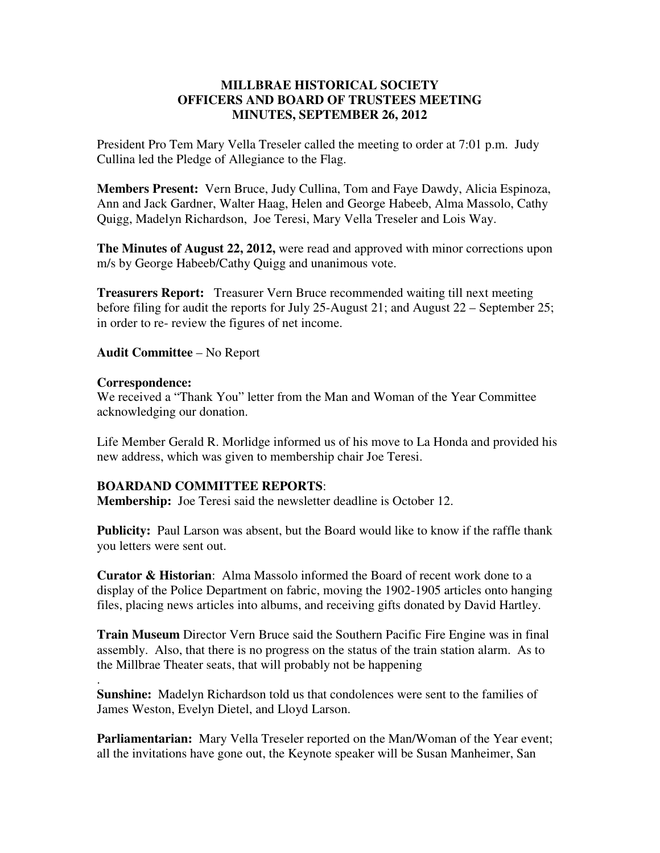## **MILLBRAE HISTORICAL SOCIETY OFFICERS AND BOARD OF TRUSTEES MEETING MINUTES, SEPTEMBER 26, 2012**

President Pro Tem Mary Vella Treseler called the meeting to order at 7:01 p.m. Judy Cullina led the Pledge of Allegiance to the Flag.

**Members Present:** Vern Bruce, Judy Cullina, Tom and Faye Dawdy, Alicia Espinoza, Ann and Jack Gardner, Walter Haag, Helen and George Habeeb, Alma Massolo, Cathy Quigg, Madelyn Richardson, Joe Teresi, Mary Vella Treseler and Lois Way.

**The Minutes of August 22, 2012,** were read and approved with minor corrections upon m/s by George Habeeb/Cathy Quigg and unanimous vote.

**Treasurers Report:** Treasurer Vern Bruce recommended waiting till next meeting before filing for audit the reports for July 25-August 21; and August 22 – September 25; in order to re- review the figures of net income.

**Audit Committee** – No Report

## **Correspondence:**

.

We received a "Thank You" letter from the Man and Woman of the Year Committee acknowledging our donation.

Life Member Gerald R. Morlidge informed us of his move to La Honda and provided his new address, which was given to membership chair Joe Teresi.

## **BOARDAND COMMITTEE REPORTS**:

**Membership:** Joe Teresi said the newsletter deadline is October 12.

**Publicity:** Paul Larson was absent, but the Board would like to know if the raffle thank you letters were sent out.

**Curator & Historian**: Alma Massolo informed the Board of recent work done to a display of the Police Department on fabric, moving the 1902-1905 articles onto hanging files, placing news articles into albums, and receiving gifts donated by David Hartley.

**Train Museum** Director Vern Bruce said the Southern Pacific Fire Engine was in final assembly. Also, that there is no progress on the status of the train station alarm. As to the Millbrae Theater seats, that will probably not be happening

**Sunshine:** Madelyn Richardson told us that condolences were sent to the families of James Weston, Evelyn Dietel, and Lloyd Larson.

**Parliamentarian:** Mary Vella Treseler reported on the Man/Woman of the Year event; all the invitations have gone out, the Keynote speaker will be Susan Manheimer, San